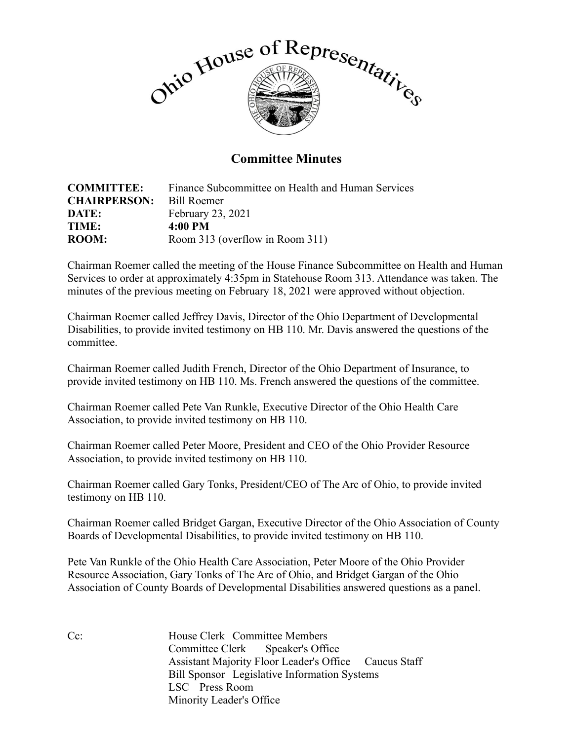

## **Committee Minutes**

| <b>COMMITTEE:</b>   | Finance Subcommittee on Health and Human Services |
|---------------------|---------------------------------------------------|
| <b>CHAIRPERSON:</b> | Bill Roemer                                       |
| DATE:               | February 23, 2021                                 |
| TIME:               | 4:00 PM                                           |
| <b>ROOM:</b>        | Room 313 (overflow in Room 311)                   |

Chairman Roemer called the meeting of the House Finance Subcommittee on Health and Human Services to order at approximately 4:35pm in Statehouse Room 313. Attendance was taken. The minutes of the previous meeting on February 18, 2021 were approved without objection.

Chairman Roemer called Jeffrey Davis, Director of the Ohio Department of Developmental Disabilities, to provide invited testimony on HB 110. Mr. Davis answered the questions of the committee.

Chairman Roemer called Judith French, Director of the Ohio Department of Insurance, to provide invited testimony on HB 110. Ms. French answered the questions of the committee.

Chairman Roemer called Pete Van Runkle, Executive Director of the Ohio Health Care Association, to provide invited testimony on HB 110.

Chairman Roemer called Peter Moore, President and CEO of the Ohio Provider Resource Association, to provide invited testimony on HB 110.

Chairman Roemer called Gary Tonks, President/CEO of The Arc of Ohio, to provide invited testimony on HB 110.

Chairman Roemer called Bridget Gargan, Executive Director of the Ohio Association of County Boards of Developmental Disabilities, to provide invited testimony on HB 110.

Pete Van Runkle of the Ohio Health Care Association, Peter Moore of the Ohio Provider Resource Association, Gary Tonks of The Arc of Ohio, and Bridget Gargan of the Ohio Association of County Boards of Developmental Disabilities answered questions as a panel.

Cc: House Clerk Committee Members Committee Clerk Speaker's Office Assistant Majority Floor Leader's Office Caucus Staff Bill Sponsor Legislative Information Systems LSC Press Room Minority Leader's Office